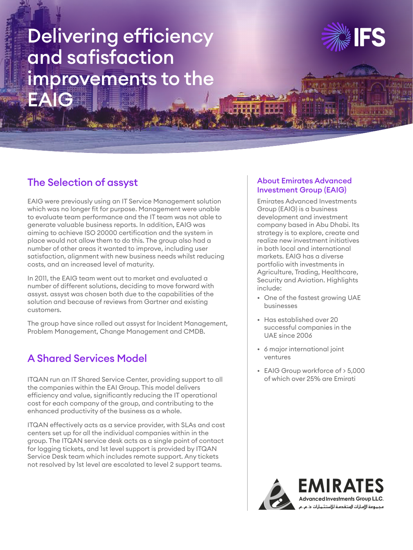# Delivering efficiency and safisfaction improvements to the EAIG



### The Selection of assyst

EAIG were previously using an IT Service Management solution which was no longer fit for purpose. Management were unable to evaluate team performance and the IT team was not able to generate valuable business reports. In addition, EAIG was aiming to achieve ISO 20000 certification and the system in place would not allow them to do this. The group also had a number of other areas it wanted to improve, including user satisfaction, alignment with new business needs whilst reducing costs, and an increased level of maturity.

In 2011, the EAIG team went out to market and evaluated a number of different solutions, deciding to move forward with assyst. assyst was chosen both due to the capabilities of the solution and because of reviews from Gartner and existing customers.

The group have since rolled out assyst for Incident Management, Problem Management, Change Management and CMDB.

## A Shared Services Model

ITQAN run an IT Shared Service Center, providing support to all the companies within the EAI Group. This model delivers efficiency and value, significantly reducing the IT operational cost for each company of the group, and contributing to the enhanced productivity of the business as a whole.

ITQAN effectively acts as a service provider, with SLAs and cost centers set up for all the individual companies within in the group. The ITQAN service desk acts as a single point of contact for logging tickets, and 1st level support is provided by ITQAN Service Desk team which includes remote support. Any tickets not resolved by 1st level are escalated to level 2 support teams.

#### About Emirates Advanced Investment Group (EAIG)

Emirates Advanced Investments Group (EAIG) is a business development and investment company based in Abu Dhabi. Its strategy is to explore, create and realize new investment initiatives in both local and international markets. EAIG has a diverse portfolio with investments in Agriculture, Trading, Healthcare, Security and Aviation. Highlights include:

- One of the fastest growing UAE businesses
- Has established over 20 successful companies in the UAE since 2006
- 6 major international joint ventures
- EAIG Group workforce of > 5,000 of which over 25% are Emirati